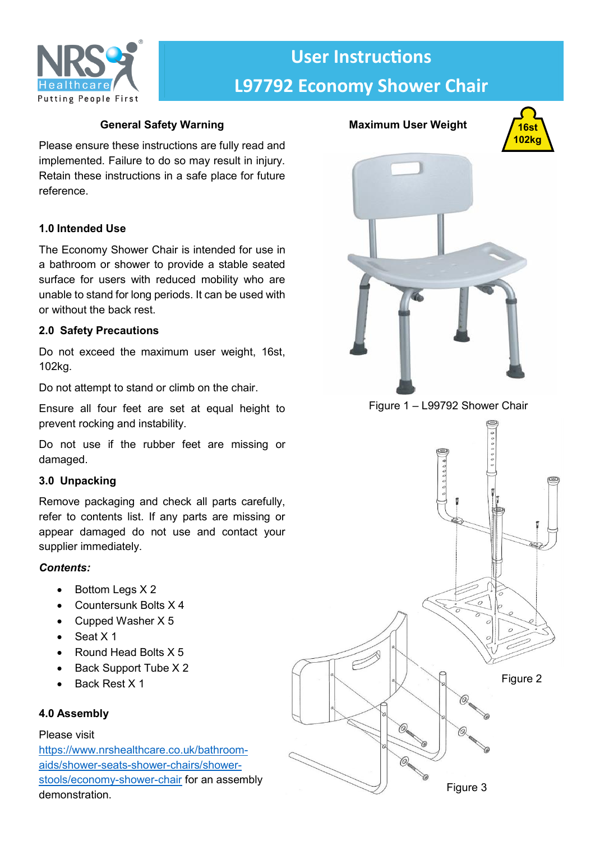

# **User Instructions L97792 Economy Shower Chair**

# **General Safety Warning**

Please ensure these instructions are fully read and implemented. Failure to do so may result in injury. Retain these instructions in a safe place for future reference.

# **1.0 Intended Use**

The Economy Shower Chair is intended for use in a bathroom or shower to provide a stable seated surface for users with reduced mobility who are unable to stand for long periods. It can be used with or without the back rest.

## **2.0 Safety Precautions**

Do not exceed the maximum user weight, 16st, 102kg.

Do not attempt to stand or climb on the chair.

Ensure all four feet are set at equal height to prevent rocking and instability.

Do not use if the rubber feet are missing or damaged.

# **3.0 Unpacking**

Remove packaging and check all parts carefully, refer to contents list. If any parts are missing or appear damaged do not use and contact your supplier immediately.

## *Contents:*

- $\bullet$  Bottom Legs X 2
- Countersunk Bolts X 4
- Cupped Washer X 5
- $\bullet$  Seat X 1
- Round Head Bolts X 5
- Back Support Tube X 2
- Back Rest X 1

# **4.0 Assembly**

## Please visit

[https://www.nrshealthcare.co.uk/bathroom](https://www.nrshealthcare.co.uk/bathroom-aids/shower-seats-shower-chairs/shower-stools/economy-shower-chair)[aids/shower-seats-shower-chairs/shower](https://www.nrshealthcare.co.uk/bathroom-aids/shower-seats-shower-chairs/shower-stools/economy-shower-chair)[stools/economy-shower-chair](https://www.nrshealthcare.co.uk/bathroom-aids/shower-seats-shower-chairs/shower-stools/economy-shower-chair) for an assembly demonstration.



**Maximum User Weight**

Figure 1 – L99792 Shower Chair